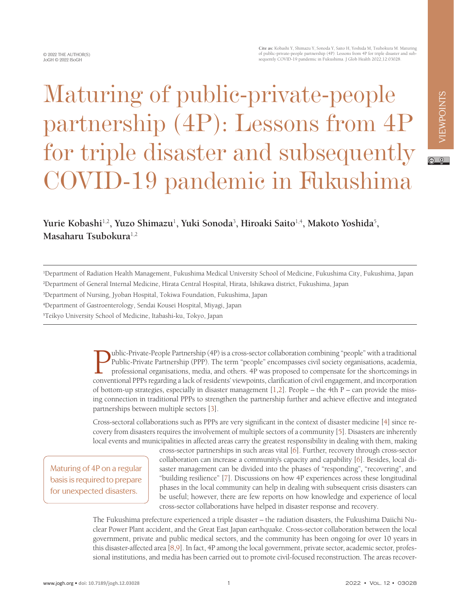## Maturing of public-private-people partnership (4P): Lessons from 4P for triple disaster and subsequently COVID-19 pandemic in Fukushima

## Yurie Kobashi<sup>1,2</sup>, Yuzo Shimazu<sup>1</sup>, Yuki Sonoda<sup>3</sup>, Hiroaki Saito<sup>1,4</sup>, Makoto Yoshida<sup>5</sup>, **Masaharu Tsubokura**1,2

1 Department of Radiation Health Management, Fukushima Medical University School of Medicine, Fukushima City, Fukushima, Japan 2 Department of General Internal Medicine, Hirata Central Hospital, Hirata, Ishikawa district, Fukushima, Japan

3 Department of Nursing, Jyoban Hospital, Tokiwa Foundation, Fukushima, Japan

4 Department of Gastroenterology, Sendai Kousei Hospital, Miyagi, Japan

5 Teikyo University School of Medicine, Itabashi-ku, Tokyo, Japan

Public-Private-People Partnership (4P) is a cross-sector collaboration combining "people" with a traditional<br>Public-Private Partnership (PPP). The term "people" encompasses civil society organisations, academia,<br>profession Public-Private Partnership (PPP). The term "people" encompasses civil society organisations, academia, professional organisations, media, and others. 4P was proposed to compensate for the shortcomings in conventional PPPs regarding a lack of residents' viewpoints, clarification of civil engagement, and incorporation of bottom-up strategies, especially in disaster management  $[1,2]$  $[1,2]$  $[1,2]$  $[1,2]$ . People – the 4th P – can provide the missing connection in traditional PPPs to strengthen the partnership further and achieve effective and integrated partnerships between multiple sectors [\[3](#page-2-2)].

Cross-sectoral collaborations such as PPPs are very significant in the context of disaster medicine [\[4\]](#page-2-3) since recovery from disasters requires the involvement of multiple sectors of a community [[5\]](#page-2-4). Disasters are inherently local events and municipalities in affected areas carry the greatest responsibility in dealing with them, making

Maturing of 4P on a regular basis is required to prepare for unexpected disasters.

cross-sector partnerships in such areas vital [\[6](#page-2-5)]. Further, recovery through cross-sector collaboration can increase a community's capacity and capability [[6\]](#page-2-5). Besides, local disaster management can be divided into the phases of "responding", "recovering", and "building resilience" [\[7](#page-2-6)]. Discussions on how 4P experiences across these longitudinal phases in the local community can help in dealing with subsequent crisis disasters can be useful; however, there are few reports on how knowledge and experience of local cross-sector collaborations have helped in disaster response and recovery.

The Fukushima prefecture experienced a triple disaster – the radiation disasters, the Fukushima Daiichi Nuclear Power Plant accident, and the Great East Japan earthquake. Cross-sector collaboration between the local government, private and public medical sectors, and the community has been ongoing for over 10 years in this disaster-affected area [\[8](#page-2-7)[,9](#page-2-8)]. In fact, 4P among the local government, private sector, academic sector, professional institutions, and media has been carried out to promote civil-focused reconstruction. The areas recover-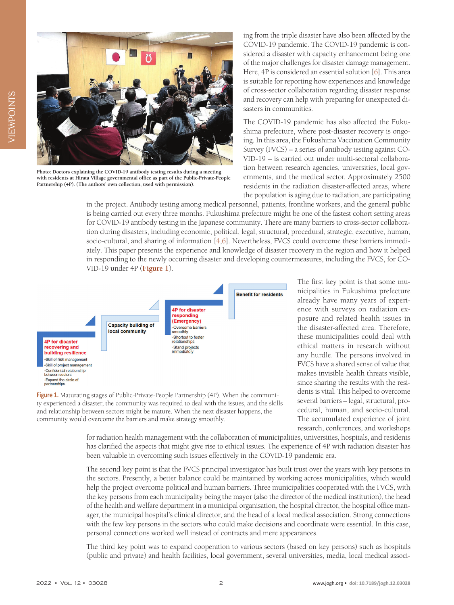

**Photo: Doctors explaining the COVID-19 antibody testing results during a meeting with residents at Hirata Village governmental office as part of the Public-Private-People Partnership (4P). (The authors' own collection, used with permission).**

ing from the triple disaster have also been affected by the COVID-19 pandemic. The COVID-19 pandemic is considered a disaster with capacity enhancement being one of the major challenges for disaster damage management. Here, 4P is considered an essential solution [[6\]](#page-2-5). This area is suitable for reporting how experiences and knowledge of cross-sector collaboration regarding disaster response and recovery can help with preparing for unexpected disasters in communities.

The COVID-19 pandemic has also affected the Fukushima prefecture, where post-disaster recovery is ongoing. In this area, the Fukushima Vaccination Community Survey (FVCS) – a series of antibody testing against CO-VID-19 – is carried out under multi-sectoral collaboration between research agencies, universities, local governments, and the medical sector. Approximately 2500 residents in the radiation disaster-affected areas, where the population is aging due to radiation, are participating

in the project. Antibody testing among medical personnel, patients, frontline workers, and the general public is being carried out every three months. Fukushima prefecture might be one of the fastest cohort setting areas for COVID-19 antibody testing in the Japanese community. There are many barriers to cross-sector collaboration during disasters, including economic, political, legal, structural, procedural, strategic, executive, human, socio-cultural, and sharing of information [[4](#page-2-3)[,6](#page-2-5)]. Nevertheless, FVCS could overcome these barriers immediately. This paper presents the experience and knowledge of disaster recovery in the region and how it helped in responding to the newly occurring disaster and developing countermeasures, including the FVCS, for CO-VID-19 under 4P (**[Figure 1](#page-1-0)**).

<span id="page-1-0"></span>

Figure 1. Maturating stages of Public-Private-People Partnership (4P). When the community experienced a disaster, the community was required to deal with the issues, and the skills and relationship between sectors might be mature. When the next disaster happens, the community would overcome the barriers and make strategy smoothly.

The first key point is that some municipalities in Fukushima prefecture already have many years of experience with surveys on radiation exposure and related health issues in the disaster-affected area. Therefore, these municipalities could deal with ethical matters in research without any hurdle. The persons involved in FVCS have a shared sense of value that makes invisible health threats visible, since sharing the results with the residents is vital. This helped to overcome several barriers – legal, structural, procedural, human, and socio-cultural. The accumulated experience of joint research, conferences, and workshops

for radiation health management with the collaboration of municipalities, universities, hospitals, and residents has clarified the aspects that might give rise to ethical issues. The experience of 4P with radiation disaster has been valuable in overcoming such issues effectively in the COVID-19 pandemic era.

The second key point is that the FVCS principal investigator has built trust over the years with key persons in the sectors. Presently, a better balance could be maintained by working across municipalities, which would help the project overcome political and human barriers. Three municipalities cooperated with the FVCS, with the key persons from each municipality being the mayor (also the director of the medical institution), the head of the health and welfare department in a municipal organisation, the hospital director, the hospital office manager, the municipal hospital's clinical director, and the head of a local medical association. Strong connections with the few key persons in the sectors who could make decisions and coordinate were essential. In this case, personal connections worked well instead of contracts and mere appearances.

The third key point was to expand cooperation to various sectors (based on key persons) such as hospitals (public and private) and health facilities, local government, several universities, media, local medical associ-